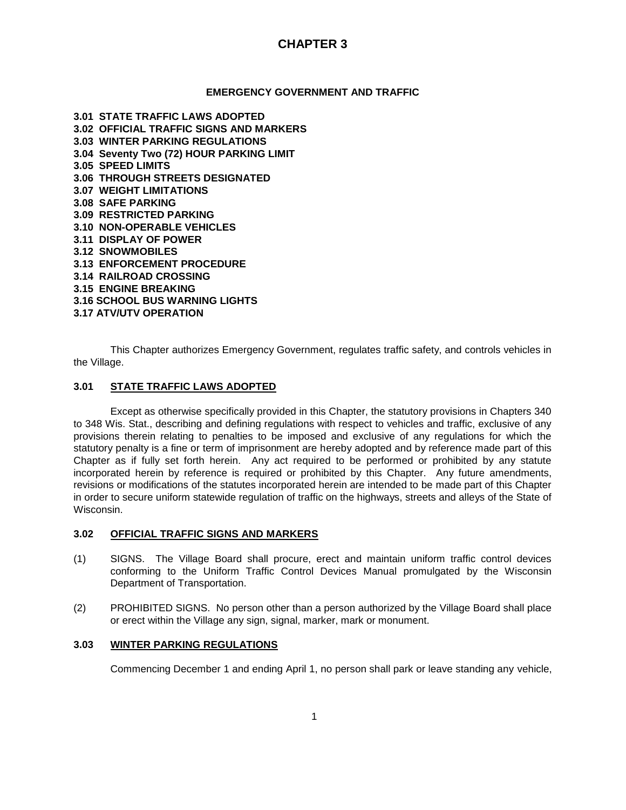#### **EMERGENCY GOVERNMENT AND TRAFFIC**

**3.01 STATE TRAFFIC LAWS ADOPTED 3.02 OFFICIAL TRAFFIC SIGNS AND MARKERS 3.03 WINTER PARKING REGULATIONS 3.04 Seventy Two (72) HOUR PARKING LIMIT 3.05 SPEED LIMITS 3.06 THROUGH STREETS DESIGNATED 3.07 WEIGHT LIMITATIONS 3.08 SAFE PARKING 3.09 RESTRICTED PARKING 3.10 NON-OPERABLE VEHICLES 3.11 DISPLAY OF POWER 3.12 SNOWMOBILES 3.13 ENFORCEMENT PROCEDURE 3.14 RAILROAD CROSSING 3.15 ENGINE BREAKING 3.16 SCHOOL BUS WARNING LIGHTS 3.17 ATV/UTV OPERATION**

This Chapter authorizes Emergency Government, regulates traffic safety, and controls vehicles in the Village.

### **3.01 STATE TRAFFIC LAWS ADOPTED**

Except as otherwise specifically provided in this Chapter, the statutory provisions in Chapters 340 to 348 Wis. Stat., describing and defining regulations with respect to vehicles and traffic, exclusive of any provisions therein relating to penalties to be imposed and exclusive of any regulations for which the statutory penalty is a fine or term of imprisonment are hereby adopted and by reference made part of this Chapter as if fully set forth herein. Any act required to be performed or prohibited by any statute incorporated herein by reference is required or prohibited by this Chapter. Any future amendments, revisions or modifications of the statutes incorporated herein are intended to be made part of this Chapter in order to secure uniform statewide regulation of traffic on the highways, streets and alleys of the State of Wisconsin.

#### **3.02 OFFICIAL TRAFFIC SIGNS AND MARKERS**

- (1) SIGNS. The Village Board shall procure, erect and maintain uniform traffic control devices conforming to the Uniform Traffic Control Devices Manual promulgated by the Wisconsin Department of Transportation.
- (2) PROHIBITED SIGNS. No person other than a person authorized by the Village Board shall place or erect within the Village any sign, signal, marker, mark or monument.

#### **3.03 WINTER PARKING REGULATIONS**

Commencing December 1 and ending April 1, no person shall park or leave standing any vehicle,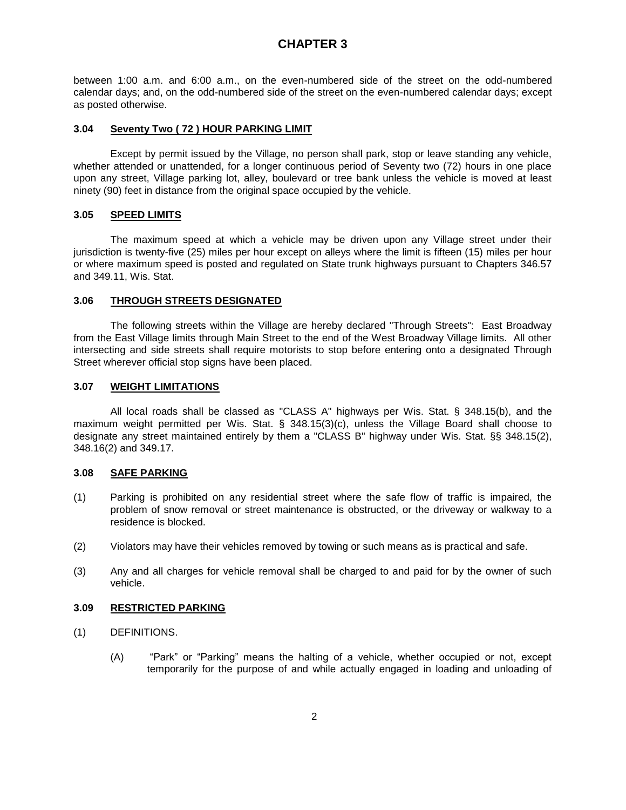between 1:00 a.m. and 6:00 a.m., on the even-numbered side of the street on the odd-numbered calendar days; and, on the odd-numbered side of the street on the even-numbered calendar days; except as posted otherwise.

#### **3.04 Seventy Two ( 72 ) HOUR PARKING LIMIT**

Except by permit issued by the Village, no person shall park, stop or leave standing any vehicle, whether attended or unattended, for a longer continuous period of Seventy two (72) hours in one place upon any street, Village parking lot, alley, boulevard or tree bank unless the vehicle is moved at least ninety (90) feet in distance from the original space occupied by the vehicle.

#### **3.05 SPEED LIMITS**

The maximum speed at which a vehicle may be driven upon any Village street under their jurisdiction is twenty-five (25) miles per hour except on alleys where the limit is fifteen (15) miles per hour or where maximum speed is posted and regulated on State trunk highways pursuant to Chapters 346.57 and 349.11, Wis. Stat.

#### **3.06 THROUGH STREETS DESIGNATED**

The following streets within the Village are hereby declared "Through Streets": East Broadway from the East Village limits through Main Street to the end of the West Broadway Village limits. All other intersecting and side streets shall require motorists to stop before entering onto a designated Through Street wherever official stop signs have been placed.

#### **3.07 WEIGHT LIMITATIONS**

All local roads shall be classed as "CLASS A" highways per Wis. Stat. § 348.15(b), and the maximum weight permitted per Wis. Stat. § 348.15(3)(c), unless the Village Board shall choose to designate any street maintained entirely by them a "CLASS B" highway under Wis. Stat. §§ 348.15(2), 348.16(2) and 349.17.

### **3.08 SAFE PARKING**

- (1) Parking is prohibited on any residential street where the safe flow of traffic is impaired, the problem of snow removal or street maintenance is obstructed, or the driveway or walkway to a residence is blocked.
- (2) Violators may have their vehicles removed by towing or such means as is practical and safe.
- (3) Any and all charges for vehicle removal shall be charged to and paid for by the owner of such vehicle.

#### **3.09 RESTRICTED PARKING**

- (1) DEFINITIONS.
	- (A) "Park" or "Parking" means the halting of a vehicle, whether occupied or not, except temporarily for the purpose of and while actually engaged in loading and unloading of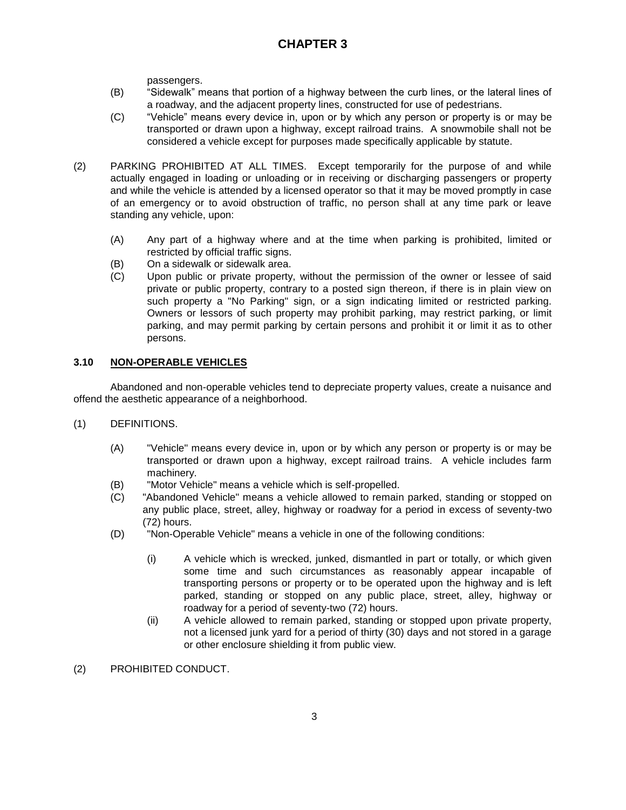passengers.

- (B) "Sidewalk" means that portion of a highway between the curb lines, or the lateral lines of a roadway, and the adjacent property lines, constructed for use of pedestrians.
- (C) "Vehicle" means every device in, upon or by which any person or property is or may be transported or drawn upon a highway, except railroad trains. A snowmobile shall not be considered a vehicle except for purposes made specifically applicable by statute.
- (2) PARKING PROHIBITED AT ALL TIMES. Except temporarily for the purpose of and while actually engaged in loading or unloading or in receiving or discharging passengers or property and while the vehicle is attended by a licensed operator so that it may be moved promptly in case of an emergency or to avoid obstruction of traffic, no person shall at any time park or leave standing any vehicle, upon:
	- (A) Any part of a highway where and at the time when parking is prohibited, limited or restricted by official traffic signs.
	- (B) On a sidewalk or sidewalk area.
	- (C) Upon public or private property, without the permission of the owner or lessee of said private or public property, contrary to a posted sign thereon, if there is in plain view on such property a "No Parking" sign, or a sign indicating limited or restricted parking. Owners or lessors of such property may prohibit parking, may restrict parking, or limit parking, and may permit parking by certain persons and prohibit it or limit it as to other persons.

## **3.10 NON-OPERABLE VEHICLES**

Abandoned and non-operable vehicles tend to depreciate property values, create a nuisance and offend the aesthetic appearance of a neighborhood.

- (1) DEFINITIONS.
	- (A) "Vehicle" means every device in, upon or by which any person or property is or may be transported or drawn upon a highway, except railroad trains. A vehicle includes farm machinery.
	- (B) "Motor Vehicle" means a vehicle which is self-propelled.
	- (C) "Abandoned Vehicle" means a vehicle allowed to remain parked, standing or stopped on any public place, street, alley, highway or roadway for a period in excess of seventy-two (72) hours.
	- (D) "Non-Operable Vehicle" means a vehicle in one of the following conditions:
		- (i) A vehicle which is wrecked, junked, dismantled in part or totally, or which given some time and such circumstances as reasonably appear incapable of transporting persons or property or to be operated upon the highway and is left parked, standing or stopped on any public place, street, alley, highway or roadway for a period of seventy-two (72) hours.
		- (ii) A vehicle allowed to remain parked, standing or stopped upon private property, not a licensed junk yard for a period of thirty (30) days and not stored in a garage or other enclosure shielding it from public view.
- (2) PROHIBITED CONDUCT.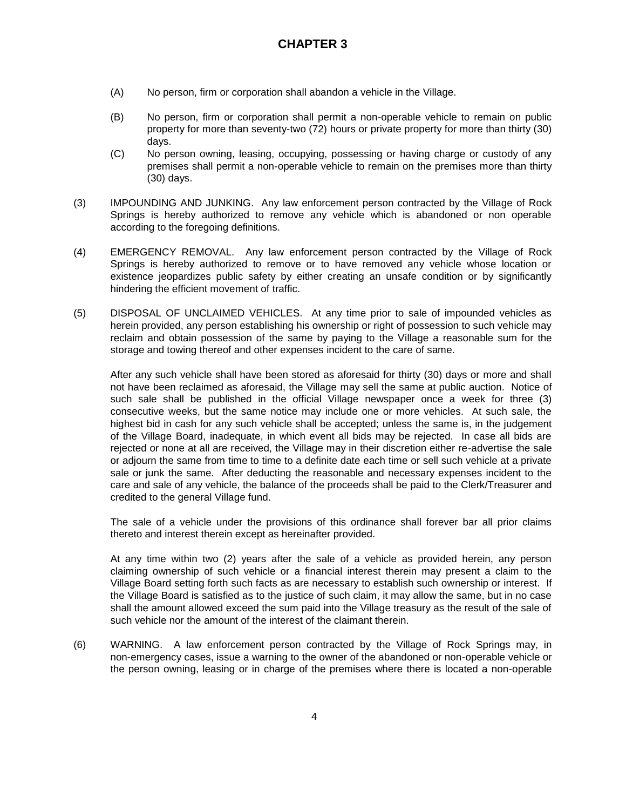- (A) No person, firm or corporation shall abandon a vehicle in the Village.
- (B) No person, firm or corporation shall permit a non-operable vehicle to remain on public property for more than seventy-two (72) hours or private property for more than thirty (30) days.
- (C) No person owning, leasing, occupying, possessing or having charge or custody of any premises shall permit a non-operable vehicle to remain on the premises more than thirty (30) days.
- (3) IMPOUNDING AND JUNKING. Any law enforcement person contracted by the Village of Rock Springs is hereby authorized to remove any vehicle which is abandoned or non operable according to the foregoing definitions.
- (4) EMERGENCY REMOVAL. Any law enforcement person contracted by the Village of Rock Springs is hereby authorized to remove or to have removed any vehicle whose location or existence jeopardizes public safety by either creating an unsafe condition or by significantly hindering the efficient movement of traffic.
- (5) DISPOSAL OF UNCLAIMED VEHICLES. At any time prior to sale of impounded vehicles as herein provided, any person establishing his ownership or right of possession to such vehicle may reclaim and obtain possession of the same by paying to the Village a reasonable sum for the storage and towing thereof and other expenses incident to the care of same.

After any such vehicle shall have been stored as aforesaid for thirty (30) days or more and shall not have been reclaimed as aforesaid, the Village may sell the same at public auction. Notice of such sale shall be published in the official Village newspaper once a week for three (3) consecutive weeks, but the same notice may include one or more vehicles. At such sale, the highest bid in cash for any such vehicle shall be accepted; unless the same is, in the judgement of the Village Board, inadequate, in which event all bids may be rejected. In case all bids are rejected or none at all are received, the Village may in their discretion either re-advertise the sale or adjourn the same from time to time to a definite date each time or sell such vehicle at a private sale or junk the same. After deducting the reasonable and necessary expenses incident to the care and sale of any vehicle, the balance of the proceeds shall be paid to the Clerk/Treasurer and credited to the general Village fund.

The sale of a vehicle under the provisions of this ordinance shall forever bar all prior claims thereto and interest therein except as hereinafter provided.

At any time within two (2) years after the sale of a vehicle as provided herein, any person claiming ownership of such vehicle or a financial interest therein may present a claim to the Village Board setting forth such facts as are necessary to establish such ownership or interest. If the Village Board is satisfied as to the justice of such claim, it may allow the same, but in no case shall the amount allowed exceed the sum paid into the Village treasury as the result of the sale of such vehicle nor the amount of the interest of the claimant therein.

(6) WARNING. A law enforcement person contracted by the Village of Rock Springs may, in non-emergency cases, issue a warning to the owner of the abandoned or non-operable vehicle or the person owning, leasing or in charge of the premises where there is located a non-operable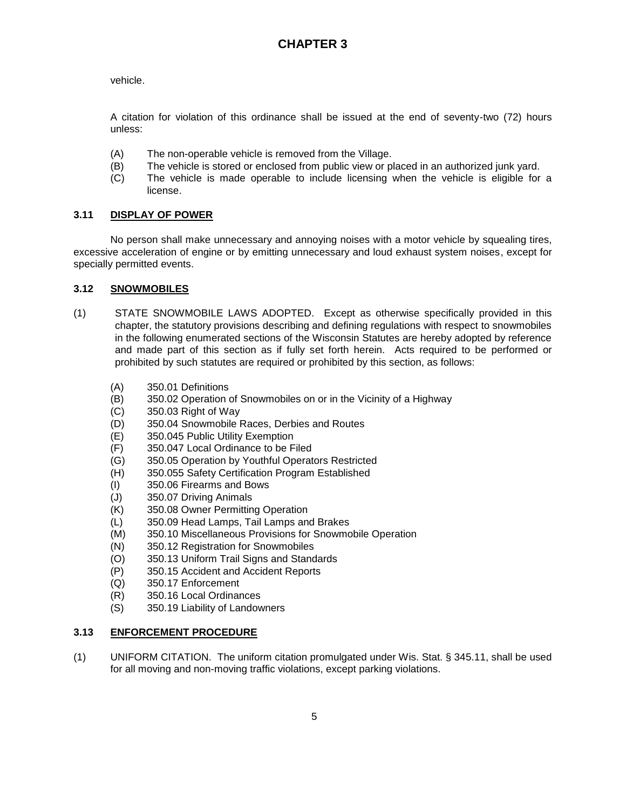vehicle.

A citation for violation of this ordinance shall be issued at the end of seventy-two (72) hours unless:

- (A) The non-operable vehicle is removed from the Village.
- (B) The vehicle is stored or enclosed from public view or placed in an authorized junk yard.
- (C) The vehicle is made operable to include licensing when the vehicle is eligible for a license.

## **3.11 DISPLAY OF POWER**

No person shall make unnecessary and annoying noises with a motor vehicle by squealing tires, excessive acceleration of engine or by emitting unnecessary and loud exhaust system noises, except for specially permitted events.

### **3.12 SNOWMOBILES**

- (1) STATE SNOWMOBILE LAWS ADOPTED. Except as otherwise specifically provided in this chapter, the statutory provisions describing and defining regulations with respect to snowmobiles in the following enumerated sections of the Wisconsin Statutes are hereby adopted by reference and made part of this section as if fully set forth herein. Acts required to be performed or prohibited by such statutes are required or prohibited by this section, as follows:
	- (A) 350.01 Definitions
	- (B) 350.02 Operation of Snowmobiles on or in the Vicinity of a Highway
	- (C) 350.03 Right of Way
	- (D) 350.04 Snowmobile Races, Derbies and Routes
	- (E) 350.045 Public Utility Exemption
	- (F) 350.047 Local Ordinance to be Filed
	- (G) 350.05 Operation by Youthful Operators Restricted
	- (H) 350.055 Safety Certification Program Established
	- (I) 350.06 Firearms and Bows
	- (J) 350.07 Driving Animals
	- (K) 350.08 Owner Permitting Operation
	- (L) 350.09 Head Lamps, Tail Lamps and Brakes
	- (M) 350.10 Miscellaneous Provisions for Snowmobile Operation
	- (N) 350.12 Registration for Snowmobiles
	- (O) 350.13 Uniform Trail Signs and Standards
	- (P) 350.15 Accident and Accident Reports
	- (Q) 350.17 Enforcement
	- (R) 350.16 Local Ordinances
	- (S) 350.19 Liability of Landowners

## **3.13 ENFORCEMENT PROCEDURE**

(1) UNIFORM CITATION. The uniform citation promulgated under Wis. Stat. § 345.11, shall be used for all moving and non-moving traffic violations, except parking violations.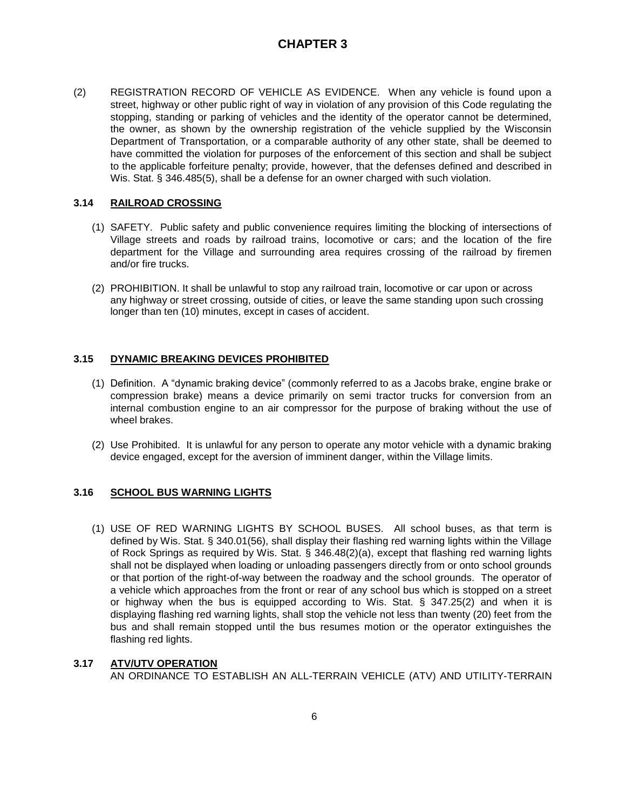(2) REGISTRATION RECORD OF VEHICLE AS EVIDENCE. When any vehicle is found upon a street, highway or other public right of way in violation of any provision of this Code regulating the stopping, standing or parking of vehicles and the identity of the operator cannot be determined, the owner, as shown by the ownership registration of the vehicle supplied by the Wisconsin Department of Transportation, or a comparable authority of any other state, shall be deemed to have committed the violation for purposes of the enforcement of this section and shall be subject to the applicable forfeiture penalty; provide, however, that the defenses defined and described in Wis. Stat. § 346.485(5), shall be a defense for an owner charged with such violation.

### **3.14 RAILROAD CROSSING**

- (1) SAFETY. Public safety and public convenience requires limiting the blocking of intersections of Village streets and roads by railroad trains, locomotive or cars; and the location of the fire department for the Village and surrounding area requires crossing of the railroad by firemen and/or fire trucks.
- (2) PROHIBITION. It shall be unlawful to stop any railroad train, locomotive or car upon or across any highway or street crossing, outside of cities, or leave the same standing upon such crossing longer than ten (10) minutes, except in cases of accident.

## **3.15 DYNAMIC BREAKING DEVICES PROHIBITED**

- (1) Definition. A "dynamic braking device" (commonly referred to as a Jacobs brake, engine brake or compression brake) means a device primarily on semi tractor trucks for conversion from an internal combustion engine to an air compressor for the purpose of braking without the use of wheel brakes.
- (2) Use Prohibited. It is unlawful for any person to operate any motor vehicle with a dynamic braking device engaged, except for the aversion of imminent danger, within the Village limits.

## **3.16 SCHOOL BUS WARNING LIGHTS**

(1) USE OF RED WARNING LIGHTS BY SCHOOL BUSES. All school buses, as that term is defined by Wis. Stat. § 340.01(56), shall display their flashing red warning lights within the Village of Rock Springs as required by Wis. Stat. § 346.48(2)(a), except that flashing red warning lights shall not be displayed when loading or unloading passengers directly from or onto school grounds or that portion of the right-of-way between the roadway and the school grounds. The operator of a vehicle which approaches from the front or rear of any school bus which is stopped on a street or highway when the bus is equipped according to Wis. Stat. § 347.25(2) and when it is displaying flashing red warning lights, shall stop the vehicle not less than twenty (20) feet from the bus and shall remain stopped until the bus resumes motion or the operator extinguishes the flashing red lights.

### **3.17 ATV/UTV OPERATION**

AN ORDINANCE TO ESTABLISH AN ALL-TERRAIN VEHICLE (ATV) AND UTILITY-TERRAIN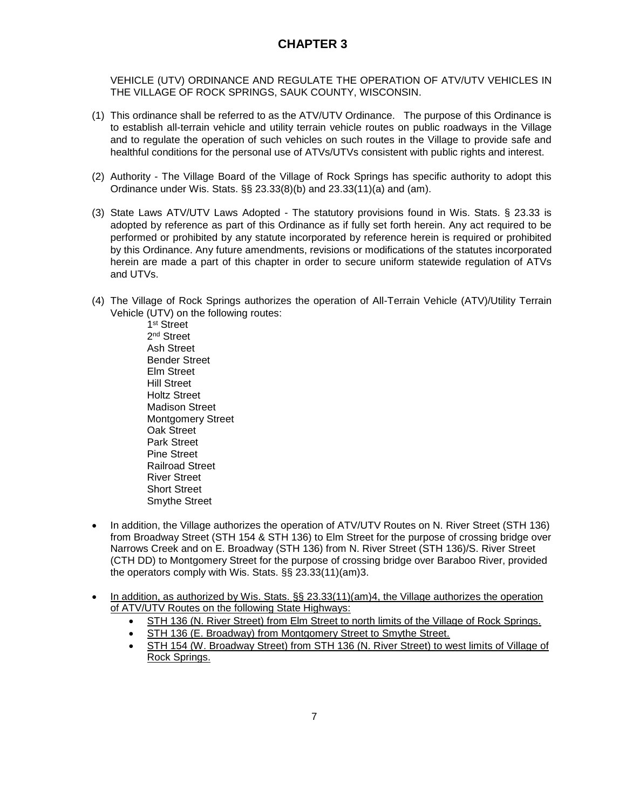VEHICLE (UTV) ORDINANCE AND REGULATE THE OPERATION OF ATV/UTV VEHICLES IN THE VILLAGE OF ROCK SPRINGS, SAUK COUNTY, WISCONSIN.

- (1) This ordinance shall be referred to as the ATV/UTV Ordinance. The purpose of this Ordinance is to establish all-terrain vehicle and utility terrain vehicle routes on public roadways in the Village and to regulate the operation of such vehicles on such routes in the Village to provide safe and healthful conditions for the personal use of ATVs/UTVs consistent with public rights and interest.
- (2) Authority The Village Board of the Village of Rock Springs has specific authority to adopt this Ordinance under Wis. Stats. §§ 23.33(8)(b) and 23.33(11)(a) and (am).
- (3) State Laws ATV/UTV Laws Adopted The statutory provisions found in Wis. Stats. § 23.33 is adopted by reference as part of this Ordinance as if fully set forth herein. Any act required to be performed or prohibited by any statute incorporated by reference herein is required or prohibited by this Ordinance. Any future amendments, revisions or modifications of the statutes incorporated herein are made a part of this chapter in order to secure uniform statewide regulation of ATVs and UTVs.
- (4) The Village of Rock Springs authorizes the operation of All-Terrain Vehicle (ATV)/Utility Terrain Vehicle (UTV) on the following routes:

1 st Street 2<sup>nd</sup> Street Ash Street Bender Street Elm Street Hill Street Holtz Street Madison Street Montgomery Street Oak Street Park Street Pine Street Railroad Street River Street Short Street Smythe Street

- In addition, the Village authorizes the operation of ATV/UTV Routes on N. River Street (STH 136) from Broadway Street (STH 154 & STH 136) to Elm Street for the purpose of crossing bridge over Narrows Creek and on E. Broadway (STH 136) from N. River Street (STH 136)/S. River Street (CTH DD) to Montgomery Street for the purpose of crossing bridge over Baraboo River, provided the operators comply with Wis. Stats. §§ 23.33(11)(am)3.
- In addition, as authorized by Wis. Stats. §§ 23.33(11)(am)4, the Village authorizes the operation of ATV/UTV Routes on the following State Highways:
	- STH 136 (N. River Street) from Elm Street to north limits of the Village of Rock Springs.
	- STH 136 (E. Broadway) from Montgomery Street to Smythe Street.
	- STH 154 (W. Broadway Street) from STH 136 (N. River Street) to west limits of Village of Rock Springs.